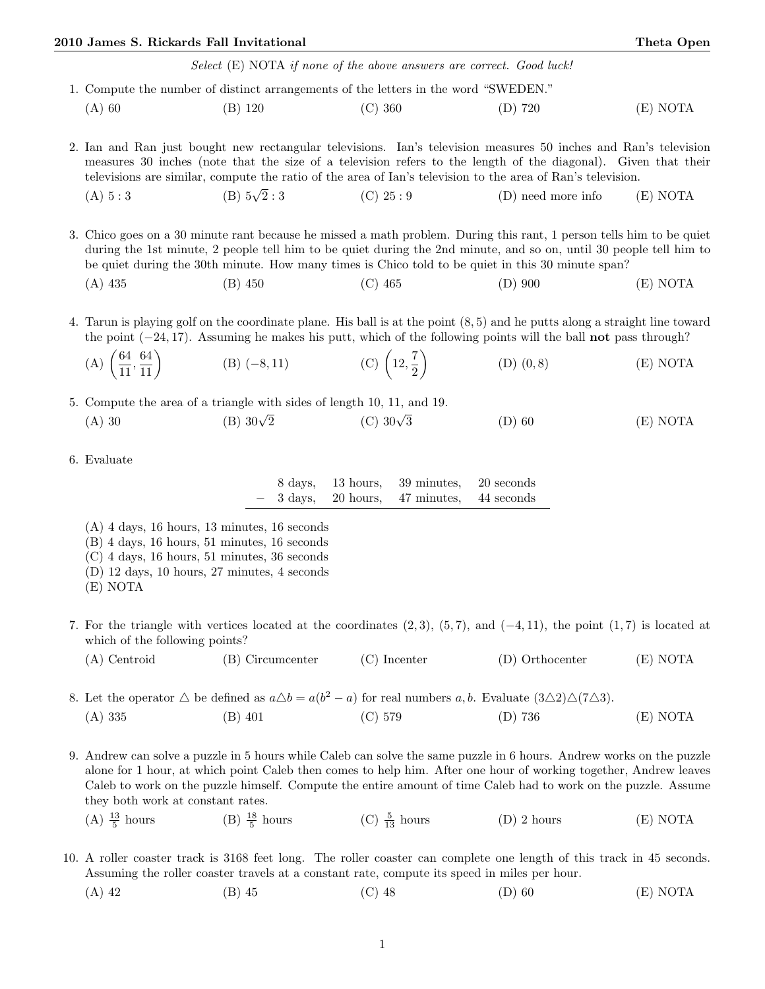## 2010 James S. Rickards Fall Invitational Theta Open

Select (E) NOTA if none of the above answers are correct. Good luck!

- 1. Compute the number of distinct arrangements of the letters in the word "SWEDEN." (A) 60 (B) 120 (C) 360 (D) 720 (E) NOTA
- 2. Ian and Ran just bought new rectangular televisions. Ian's television measures 50 inches and Ran's television measures 30 inches (note that the size of a television refers to the length of the diagonal). Given that their televisions are similar, compute the ratio of the area of Ian's television to the area of Ran's television.
	- (A)  $5:3$  (B)  $5\sqrt{2}:3$  $(C)$  25 : 9  $(D)$  need more info  $(E)$  NOTA
- 3. Chico goes on a 30 minute rant because he missed a math problem. During this rant, 1 person tells him to be quiet during the 1st minute, 2 people tell him to be quiet during the 2nd minute, and so on, until 30 people tell him to be quiet during the 30th minute. How many times is Chico told to be quiet in this 30 minute span?
	- (A) 435 (B) 450 (C) 465 (D) 900 (E) NOTA
- 4. Tarun is playing golf on the coordinate plane. His ball is at the point (8, 5) and he putts along a straight line toward the point  $(-24, 17)$ . Assuming he makes his putt, which of the following points will the ball not pass through?

(A) 
$$
\left(\frac{64}{11}, \frac{64}{11}\right)
$$
 (B)  $(-8, 11)$  (C)  $\left(12, \frac{7}{2}\right)$  (D)  $(0, 8)$  (E) NOTA

5. Compute the area of a triangle with sides of length 10, 11, and 19.<br>
(A) 30 (B)  $30\sqrt{2}$  (C)  $30\sqrt{3}$ 

- (B)  $30\sqrt{2}$  (C)  $30\sqrt{3}$  $\overline{2}$  (D) 60 (E) NOTA
- 6. Evaluate

| 8 days, | 13 hours.                           | 39 minutes. | 20 seconds |
|---------|-------------------------------------|-------------|------------|
|         | $3 \text{ days}, 20 \text{ hours},$ | 47 minutes. | 44 seconds |

- (A) 4 days, 16 hours, 13 minutes, 16 seconds
- (B) 4 days, 16 hours, 51 minutes, 16 seconds
- (C) 4 days, 16 hours, 51 minutes, 36 seconds
- (D) 12 days, 10 hours, 27 minutes, 4 seconds
- (E) NOTA
- 7. For the triangle with vertices located at the coordinates  $(2,3)$ ,  $(5,7)$ , and  $(-4,11)$ , the point  $(1,7)$  is located at which of the following points?
	- (A) Centroid (B) Circumcenter (C) Incenter (D) Orthocenter (E) NOTA
- 8. Let the operator  $\triangle$  be defined as  $a\triangle b = a(b^2 a)$  for real numbers  $a, b$ . Evaluate  $(3\triangle 2)\triangle (7\triangle 3)$ . (A) 335 (B) 401 (C) 579 (D) 736 (E) NOTA
- 9. Andrew can solve a puzzle in 5 hours while Caleb can solve the same puzzle in 6 hours. Andrew works on the puzzle alone for 1 hour, at which point Caleb then comes to help him. After one hour of working together, Andrew leaves Caleb to work on the puzzle himself. Compute the entire amount of time Caleb had to work on the puzzle. Assume they both work at constant rates.
	- $(A) \frac{13}{5}$ hours (B)  $\frac{18}{5}$  hours (C)  $\frac{5}{13}$  $(D)$  2 hours (E) NOTA
- 10. A roller coaster track is 3168 feet long. The roller coaster can complete one length of this track in 45 seconds. Assuming the roller coaster travels at a constant rate, compute its speed in miles per hour.
	- (A) 42 (B) 45 (C) 48 (D) 60 (E) NOTA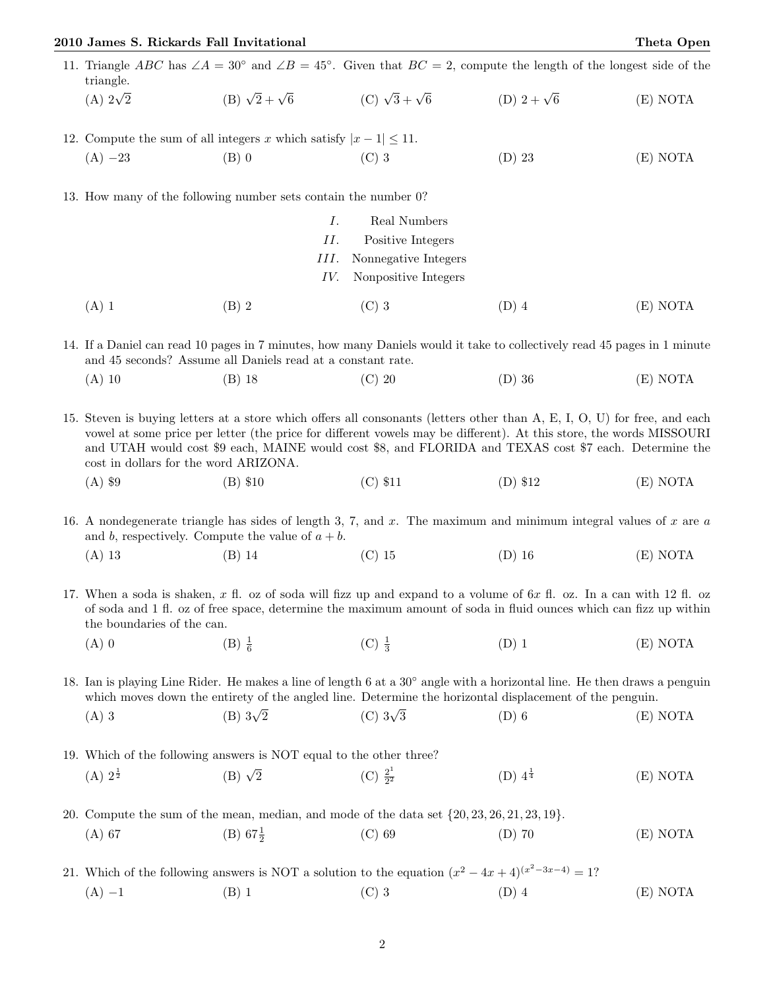## 2010 James S. Rickards Fall Invitational Theta Open

- 11. Triangle ABC has ∠A = 30° and ∠B = 45°. Given that  $BC = 2$ , compute the length of the longest side of the triangle. (A)  $2\sqrt{2}$  $\frac{1}{2}$  (B)  $\sqrt{2} + \sqrt{2}$ 6 (C)  $\sqrt{3} + \sqrt{3}$ (D)  $2 + \sqrt{6}$  $(E) NOTA$
- 12. Compute the sum of all integers x which satisfy  $|x-1| \leq 11$ . (A) −23 (B) 0 (C) 3 (D) 23 (E) NOTA

13. How many of the following number sets contain the number 0?

|         |       | 1.  | Real Numbers                    |         |          |
|---------|-------|-----|---------------------------------|---------|----------|
|         |       | II. | Positive Integers               |         |          |
|         |       |     | III. Nonnegative Integers       |         |          |
|         |       |     | <i>IV.</i> Nonpositive Integers |         |          |
| $(A)$ 1 | (B) 2 |     | $(C)$ 3                         | $(D)$ 4 | (E) NOTA |

14. If a Daniel can read 10 pages in 7 minutes, how many Daniels would it take to collectively read 45 pages in 1 minute and 45 seconds? Assume all Daniels read at a constant rate.

(A) 10 (B) 18 (C) 20 (D) 36 (E) NOTA

15. Steven is buying letters at a store which offers all consonants (letters other than A, E, I, O, U) for free, and each vowel at some price per letter (the price for different vowels may be different). At this store, the words MISSOURI and UTAH would cost \$9 each, MAINE would cost \$8, and FLORIDA and TEXAS cost \$7 each. Determine the cost in dollars for the word ARIZONA.

(A) \$9 (B) \$10 (C) \$11 (D) \$12 (E) NOTA

16. A nondegenerate triangle has sides of length 3, 7, and x. The maximum and minimum integral values of x are  $a$ and b, respectively. Compute the value of  $a + b$ .

(A) 13 (B) 14 (C) 15 (D) 16 (E) NOTA

17. When a soda is shaken,  $x$  fl. oz of soda will fizz up and expand to a volume of  $6x$  fl. oz. In a can with 12 fl. oz of soda and 1 fl. oz of free space, determine the maximum amount of soda in fluid ounces which can fizz up within the boundaries of the can.

(A) 0 (B)  $\frac{1}{6}$  $(C) \frac{1}{3}$  $(E)$  NOTA

18. Ian is playing Line Rider. He makes a line of length 6 at a 30◦ angle with a horizontal line. He then draws a penguin which moves down the entirety of the angled line. Determine the horizontal displacement of the penguin.

(A) 3 (B)  $3\sqrt{2}$  $(C)$  3 $\sqrt{3}$  $\overline{2}$  (D) 6 (E) NOTA

19. Which of the following answers is NOT equal to the other three?  $(A) 2^{\frac{1}{2}}$  $(B)$   $\sqrt{2}$  $\overline{2}$  (C)  $\frac{2^1}{2^2}$ 2  $(D)$   $4^{\frac{1}{4}}$  $(E) NOTA$ 

20. Compute the sum of the mean, median, and mode of the data set {20, 23, 26, 21, 23, 19}. (A) 67 (B) 67 $\frac{1}{2}$ (C) 69 (D) 70 (E) NOTA

21. Which of the following answers is NOT a solution to the equation  $(x^2 - 4x + 4)^{(x^2-3x-4)} = 1$ ? (A) −1 (B) 1 (C) 3 (D) 4 (E) NOTA